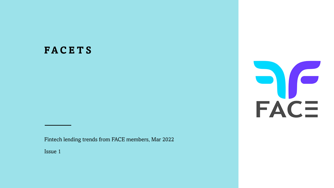#### **F A C E T S**

Fintech lending trends from FACE members, Mar 2022

Issue 1

DO CE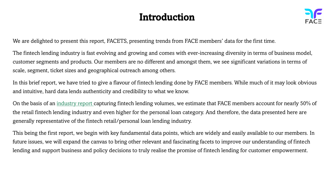## Introduction



We are delighted to present this report, FACETS, presenting trends from FACE members' data for the first time.

The fintech lending industry is fast evolving and growing and comes with ever-increasing diversity in terms of business model, customer segments and products. Our members are no different and amongst them, we see significant variations in terms of scale, segment, ticket sizes and geographical outreach among others.

In this brief report, we have tried to give a flavour of fintech lending done by FACE members. While much of it may look obvious and intuitive, hard data lends authenticity and credibility to what we know.

On the basis of an [industry report c](https://www.sidbi.in/en/fintech-pulse)apturing fintech lending volumes, we estimate that FACE members account for nearly 50% of the retail fintech lending industry and even higher for the personal loan category. And therefore, the data presented here are generally representative of the fintech retail/personal loan lending industry.

This being the first report, we begin with key fundamental data points, which are widely and easily available to our members. In future issues, we will expand the canvas to bring other relevant and fascinating facets to improve our understanding of fintech lending and support business and policy decisions to truly realise the promise of fintech lending for customer empowerment.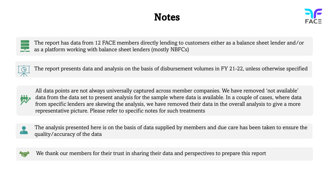## **Notes**



The report has data from 12 FACE members directly lending to customers either as a balance sheet lender and/or  $\overline{\cdots}$ as a platform working with balance sheet lenders (mostly NBFCs)



The report presents data and analysis on the basis of disbursement volumes in FY 21-22, unless otherwise specified



All data points are not always universally captured across member companies. We have removed 'not available' data from the data set to present analysis for the sample where data is available. In a couple of cases, where data from specific lenders are skewing the analysis, we have removed their data in the overall analysis to give a more representative picture. Please refer to specific notes for such treatments



The analysis presented here is on the basis of data supplied by members and due care has been taken to ensure the quality/accuracy of the data



We thank our members for their trust in sharing their data and perspectives to prepare this report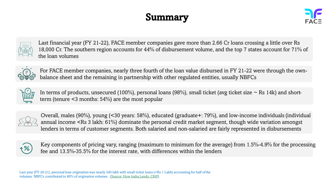# Summary





Last financial year (FY 21-22), FACE member companies gave more than 2.66 Cr loans crossing a little over Rs 18,000 Cr. The southern region accounts for 44% of disbursement volume, and the top 7 states account for 71% of the loan volumes



For FACE member companies, nearly three fourth of the loan value disbursed in FY 21-22 were through the ownbalance sheet and the remaining in partnership with other regulated entities, usually NBFCs



In terms of products, unsecured (100%), personal loans (98%), small ticket (avg ticket size  $\sim$  Rs 14k) and shortterm (tenure <3 months: 54%) are the most popular



Overall, males (90%), young (<30 years: 58%), educated (graduate+: 79%), and low-income individuals (individual annual income <Rs 3 lakh: 61%) dominate the personal credit market segment, though wide variation amongst lenders in terms of customer segments. Both salaried and non-salaried are fairly represented in disbursements



Key components of pricing vary, ranging (maximum to minimum for the average) from 1.5%-4.9% for the processing fee and 13.5%-35.5% for the interest rate, with differences within the lenders

Last year (FY 20-21), personal loan origination was nearly 240 lakh with small ticket loans (<Rs 1 Lakh) accounting for half of the volumes. NBFCs contributed to 80% of origination volumes. ([Source: How India Lends, CRIF\)](https://www.crifhighmark.com/media/2362/how-india-lends-fy2021.pdf)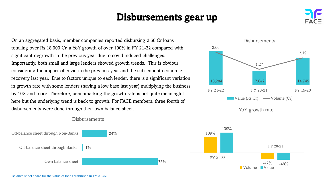#### Disbursements gear up

On an aggregated basis, member companies reported disbursing 2.66 Cr loans totalling over Rs 18,000 Cr, a YoY growth of over 100% in FY 21-22 compared with significant degrowth in the previous year due to covid induced challenges. Importantly, both small and large lenders showed growth trends. This is obvious considering the impact of covid in the previous year and the subsequent economic recovery last year. Due to factors unique to each lender, there is a significant variation in growth rate with some lenders (having a low base last year) multiplying the business by 10X and more. Therefore, benchmarking the growth rate is not quite meaningful here but the underlying trend is back to growth. For FACE members, three fourth of disbursements were done through their own balance sheet.



 $-42%$ 

FY 20-21

 $-48%$ 





#### **Disbursements**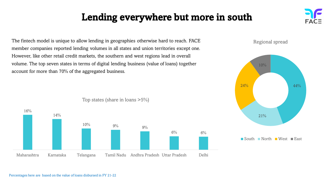## Lending everywhere but more in south

The fintech model is unique to allow lending in geographies otherwise hard to reach. FACE member companies reported lending volumes in all states and union territories except one. However, like other retail credit markets, the southern and west regions lead in overall volume. The top seven states in terms of digital lending business (value of loans) together account for more than 70% of the aggregated business.



Top states (share in loans >5%)

#### Regional spread



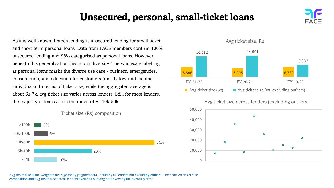### Unsecured, personal, small-ticket loans

As it is well known, fintech lending is unsecured lending for small ticket and short-term personal loans. Data from FACE members confirm 100% unsecured lending and 98% categorised as personal loans. However, beneath this generalisation, lies much diversity. The wholesale labelling as personal loans masks the diverse use case - business, emergencies, consumption, and education for customers (mostly low-mid income individuals). In terms of ticket size, while the aggregated average is about Rs 7k, avg ticket size varies across lenders. Still, for most lenders, the majority of loans are in the range of Rs 10k-50k.







Avg ticket size, Rs

Avg ticket size across lenders (excluding outliers)





Avg ticket size is the weighted average for aggregated data, including all lenders but excluding outliers. The chart on ticket size composition and avg ticket size across lenders excludes outlying data skewing the overall picture.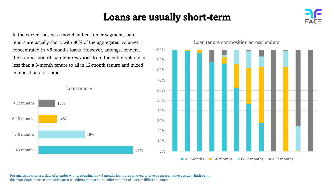#### Loans are usually short-term



In the current business model and customer segment, loan tenors are usually short, with 80% of the aggregated volumes concentrated in <6 months loans. However, amongst lenders, the composition of loan tenures varies from the entire volume in less than a 3-month tenure to all in 12-month tenure and mixed compositions for some.



Loan tenure composition across lenders



For analysis on tenure, data of a lender with predominantly <3 months loans are removed to give a representative position. Each bar in the chart (loan tenure composition across lenders) represents a lender and mix of loans in different tenures.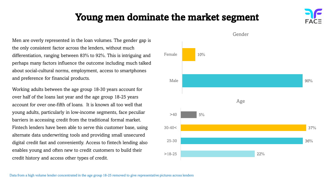#### Young men dominate the market segment

Men are overly represented in the loan volumes. The gender gap is the only consistent factor across the lenders, without much differentiation, ranging between 83% to 92%. This is intriguing and perhaps many factors influence the outcome including much talked about social-cultural norms, employment, access to smartphones and preference for financial products.

Working adults between the age group 18-30 years account for over half of the loans last year and the age group 18-25 years account for over one-fifth of loans. It is known all too well that young adults, particularly in low-income segments, face peculiar barriers in accessing credit from the traditional formal market. Fintech lenders have been able to serve this customer base, using alternate data underwriting tools and providing small unsecured digital credit fast and conveniently. Access to fintech lending also enables young and often new to credit customers to build their credit history and access other types of credit.



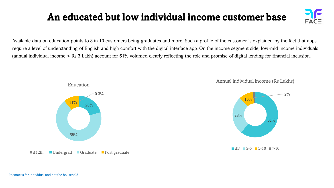# An educated but low individual income customer base



Available data on education points to 8 in 10 customers being graduates and more. Such a profile of the customer is explained by the fact that apps require a level of understanding of English and high comfort with the digital interface app. On the income segment side, low-mid income individuals (annual individual income < Rs 3 Lakh) account for 61% volumed clearly reflecting the role and promise of digital lending for financial inclusion.



Annual individual income (Rs Lakhs)

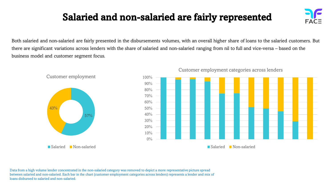# Salaried and non-salaried are fairly represented

Both salaried and non-salaried are fairly presented in the disbursements volumes, with an overall higher share of loans to the salaried customers. But there are significant variations across lenders with the share of salaried and non-salaried ranging from nil to full and vice-versa – based on the business model and customer segment focus.



#### Customer employment categories across lenders

Data from a high volume lender concentrated in the non-salaried category was removed to depict a more representative picture spread between salaried and non-salaried. Each bar in the chart (customer employment categories across lenders) represents a lender and mix of loans disbursed to salaried and non-salaried.

43%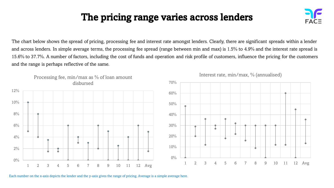# The pricing range varies across lenders



The chart below shows the spread of pricing, processing fee and interest rate amongst lenders. Clearly, there are significant spreads within a lender and across lenders. In simple average terms, the processing fee spread (range between min and max) is 1.5% to 4.9% and the interest rate spread is 15.6% to 37.7%. A number of factors, including the cost of funds and operation and risk profile of customers, influence the pricing for the customers and the range is perhaps reflective of the same.



Interest rate, min/max, % (annualised)

Each number on the x-axis depicts the lender and the y-axis gives the range of pricing. Average is a simple average here.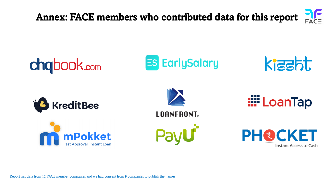Annex: FACE members who contributed data for this report



Report has data from 12 FACE member companies and we had consent from 9 companies to publish the names.